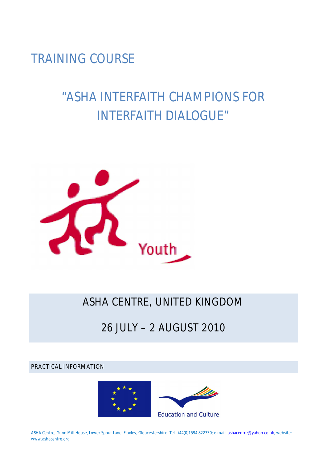TRAINING COURSE

# "ASHA INTERFAITH CHAMPIONS FOR INTERFAITH DIALOGUE"



# ASHA CENTRE, UNITED KINGDOM

# 26 JULY – 2 AUGUST 2010

PRACTICAL INFORMATION



**ASHA Centre, Gunn Mill House, Lower Spout Lane, Flaxley, Gloucestershire. Tel. +44(0)1594 822330; e-mail: ashacentre@yahoo.co.uk, website: www.ashacentre.org**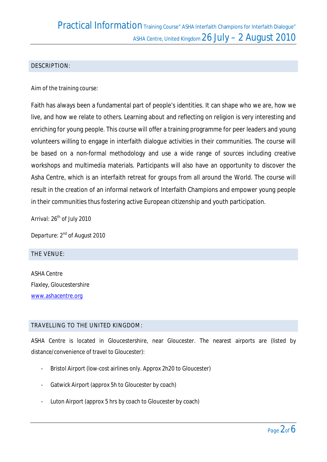#### DESCRIPTION:

#### **Aim of the training course:**

Faith has always been a fundamental part of people's identities. It can shape who we are, how we live, and how we relate to others. Learning about and reflecting on religion is very interesting and enriching for young people. This course will offer a training programme for peer leaders and young volunteers willing to engage in interfaith dialogue activities in their communities. The course will be based on a non-formal methodology and use a wide range of sources including creative workshops and multimedia materials. Participants will also have an opportunity to discover the Asha Centre, which is an interfaith retreat for groups from all around the World. The course will result in the creation of an informal network of Interfaith Champions and empower young people in their communities thus fostering active European citizenship and youth participation.

Arrival: 26<sup>th</sup> of July 2010

*Departure:* 2nd of August 2010

#### THE VENUE:

ASHA Centre Flaxley, Gloucestershire www.ashacentre.org

#### TRAVELLING TO THE UNITED KINGDOM:

ASHA Centre is located in Gloucestershire, near Gloucester. The nearest airports are (listed by distance/convenience of travel to Gloucester):

- Bristol Airport (low-cost airlines only. Approx 2h20 to Gloucester)
- Gatwick Airport (approx 5h to Gloucester by coach)
- Luton Airport (approx 5 hrs by coach to Gloucester by coach)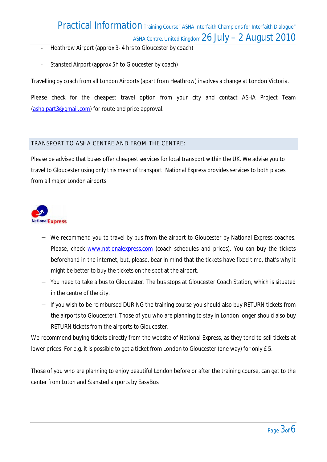### Practical Information Training Course" ASHA Interfaith Champions for Interfaith Dialogue" ASHA Centre, United Kingdom 26 July - 2 August 2010

- Heathrow Airport (approx 3- 4 hrs to Gloucester by coach)
- Stansted Airport (approx 5h to Gloucester by coach)

Travelling by coach from all London Airports (apart from Heathrow) involves a change at London Victoria.

Please check for the cheapest travel option from your city and contact ASHA Project Team (asha.part3@gmail.com) for route and price approval.

#### TRANSPORT TO ASHA CENTRE AND FROM THE CENTRE:

Please be advised that buses offer cheapest services for local transport within the UK. We advise you to travel to Gloucester using only this mean of transport. National Express provides services to both places from all major London airports



- − We recommend you to travel by bus from the airport to Gloucester by National Express coaches. Please, check www.nationalexpress.com (coach schedules and prices). You can buy the tickets beforehand in the internet, but, please, bear in mind that the tickets have fixed time, that's why it might be better to buy the tickets on the spot at the airport.
- − You need to take a bus to **Gloucester.** The bus stops at Gloucester Coach Station, which is situated in the centre of the city.
- − If you wish to be reimbursed **DURING** the training course you should also buy **RETURN** tickets from the airports to Gloucester). Those of you who are planning to stay in London longer should also buy **RETURN** tickets from the airports to Gloucester.

We recommend buying tickets directly from the website of National Express, as they tend to sell tickets at lower prices. For e.g. it is possible to get a ticket from London to Gloucester (one way) for only £ 5.

Those of you who are planning to enjoy beautiful London before or after the training course, can get to the center from Luton and Stansted airports by **EasyBus**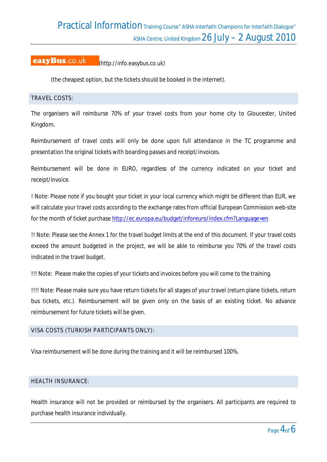Practical Information Training Course" ASHA Interfaith Champions for Interfaith Dialogue" ASHA Centre, United Kingdom 26 July - 2 August 2010

#### easyBus.co.uk (http://info.easybus.co.uk)

(the cheapest option, but the tickets should be booked in the internet).

#### TRAVEL COSTS:

The organisers will reimburse **70% of your travel costs from your home city to Gloucester, United Kingdom**.

**Reimbursement of travel costs will only be done upon full attendance in the TC programme and presentation the original tickets with boarding passes and receipt/invoices**.

Reimbursement will be done in EURO, regardless of the currency indicated on your ticket and receipt/invoice.

**! Note:** Please note if you bought your ticket in your local currency which might be different than EUR, we will calculate your travel costs according to the exchange rates from official European Commission web-site for the month of ticket purchase http://ec.europa.eu/budget/inforeuro/index.cfm?Language=en

**!! Note:** Please see the Annex 1 for the travel budget limits at the end of this document. If your travel costs exceed the amount budgeted in the project, we will be able to reimburse you 70% of the travel costs indicated in the travel budget.

**!!! Note:** Please make the copies of your tickets and invoices before you will come to the training.

**!!!! Note:** Please make sure you have **return tickets for all stages of your travel** (return plane tickets, return bus tickets, etc.). **Reimbursement** will be given **only on the basis of an existing ticket**. No advance reimbursement for future tickets will be given.

#### VISA COSTS (TURKISH PARTICIPANTS ONLY):

Visa reimbursement will be done during the training and it will be **reimbursed 100%.** 

#### HEALTH INSURANCE:

Health insurance will not be provided or reimbursed by the organisers. All participants are required to purchase health insurance individually.

*Page 4of 6*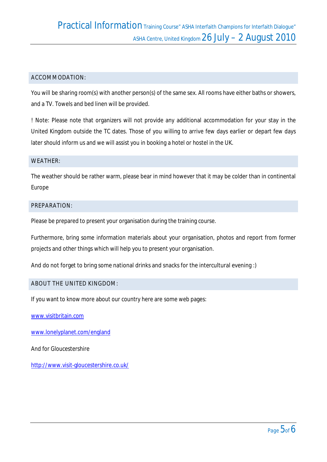#### ACCOMMODATION:

You will be sharing room(s) with another person(s) of the same sex. All rooms have either baths or showers, and a TV. Towels and bed linen will be provided.

**! Note:** Please note that organizers will not provide any additional accommodation for your stay in the United Kingdom outside the TC dates. Those of you willing to arrive few days earlier or depart few days later should inform us and we will assist you in booking a hotel or hostel in the UK.

#### WEATHER:

The weather should be rather warm, please bear in mind however that it may be colder than in continental Europe

#### PREPARATION:

Please be prepared to present your organisation during the training course.

Furthermore, bring some information materials about your organisation, photos and report from former projects and other things which will help you to present your organisation.

#### **And do not forget to bring some national drinks and snacks for the intercultural evening :)**

#### ABOUT THE UNITED KINGDOM:

If you want to know more about our country here are some web pages:

www.visitbritain.com

www.lonelyplanet.com/england

And for Gloucestershire

http://www.visit-gloucestershire.co.uk/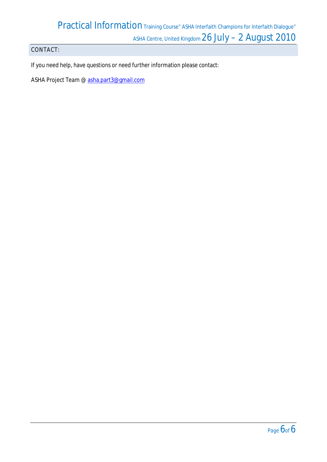# Practical Information Training Course" ASHA Interfaith Champions for Interfaith Dialogue" ASHA Centre, United Kingdom 26 July - 2 August 2010

### CONTACT:

If you need help, have questions or need further information please contact:

**ASHA Project Team** @ asha.part3@gmail.com